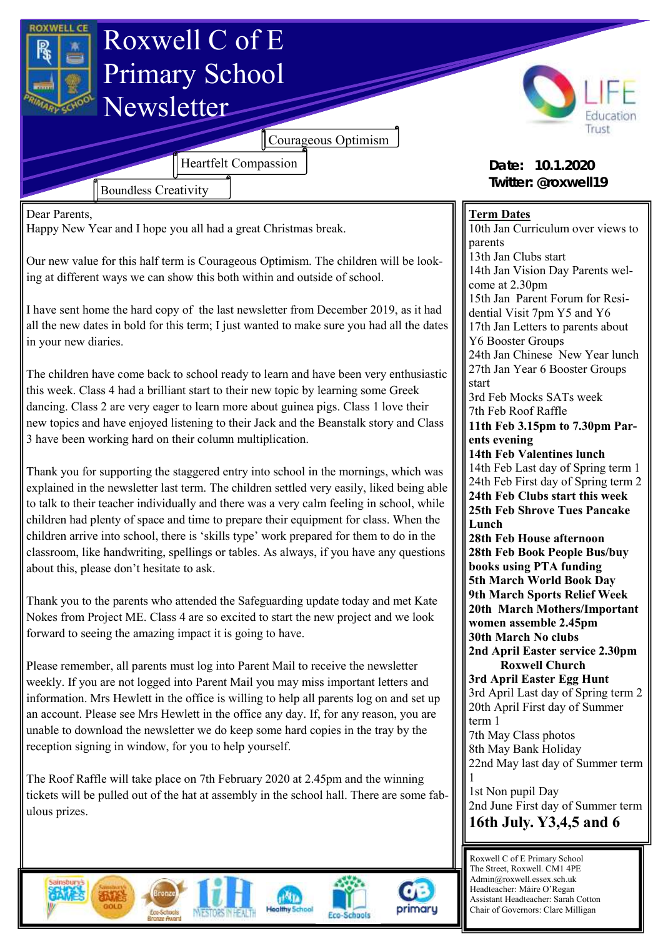